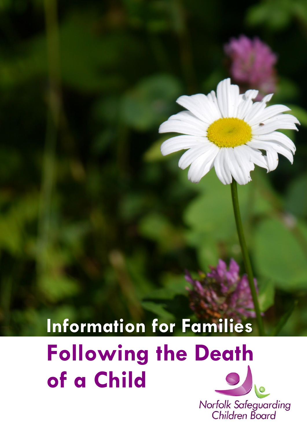# **Information for Families Following the Death of a Child**

Norfolk Safeguarding<br>Children Board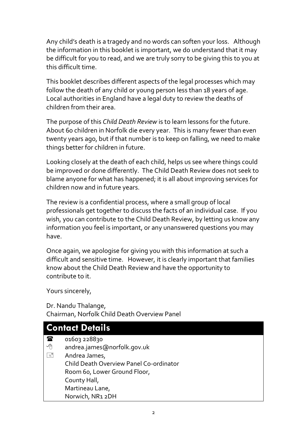Any child's death is a tragedy and no words can soften your loss. Although the information in this booklet is important, we do understand that it may be difficult for you to read, and we are truly sorry to be giving this to you at this difficult time.

This booklet describes different aspects of the legal processes which may follow the death of any child or young person less than 18 years of age. Local authorities in England have a legal duty to review the deaths of children from their area.

The purpose of this *Child Death Review* is to learn lessons for the future. About 60 children in Norfolk die every year. This is many fewer than even twenty years ago, but if that number is to keep on falling, we need to make things better for children in future.

Looking closely at the death of each child, helps us see where things could be improved or done differently. The Child Death Review does not seek to blame anyone for what has happened; it is all about improving services for children now and in future years.

The review is a confidential process, where a small group of local professionals get together to discuss the facts of an individual case. If you wish, you can contribute to the Child Death Review, by letting us know any information you feel is important, or any unanswered questions you may have.

Once again, we apologise for giving you with this information at such a difficult and sensitive time. However, it is clearly important that families know about the Child Death Review and have the opportunity to contribute to it.

Yours sincerely,

Dr. Nandu Thalange, Chairman, Norfolk Child Death Overview Panel

| <b>Contact Details</b> |                                         |  |
|------------------------|-----------------------------------------|--|
| 雷                      | 01603 228830                            |  |
| 一心                     | andrea.james@norfolk.gov.uk             |  |
| $\equiv$               | Andrea James,                           |  |
|                        | Child Death Overview Panel Co-ordinator |  |
|                        | Room 60, Lower Ground Floor,            |  |
|                        | County Hall,                            |  |
|                        | Martineau Lane,                         |  |
|                        | Norwich, NR1 2DH                        |  |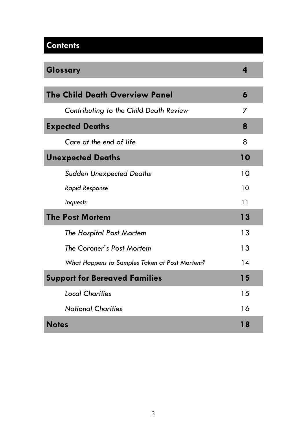# **Contents**

| Glossary                                      | 4  |
|-----------------------------------------------|----|
| <b>The Child Death Overview Panel</b>         |    |
| Contributing to the Child Death Review        | 7  |
| <b>Expected Deaths</b>                        | 8  |
| Care at the end of life                       | 8  |
| <b>Unexpected Deaths</b>                      | 10 |
| <b>Sudden Unexpected Deaths</b>               | 10 |
| <b>Rapid Response</b>                         | 10 |
| Inquests                                      | 11 |
| <b>The Post Mortem</b>                        | 13 |
| The Hospital Post Mortem                      | 13 |
| The Coroner's Post Mortem                     | 13 |
| What Happens to Samples Taken at Post Mortem? | 14 |
| <b>Support for Bereaved Families</b>          | 15 |
| <b>Local Charities</b>                        | 15 |
| <b>National Charities</b>                     | 16 |
| <b>Notes</b>                                  | 18 |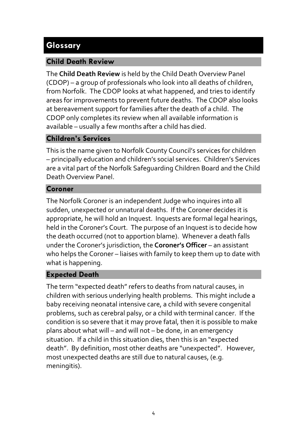## **Glossary**

#### **Child Death Review**

The **Child Death Review** is held by the Child Death Overview Panel (CDOP) – a group of professionals who look into all deaths of children, from Norfolk. The CDOP looks at what happened, and tries to identify areas for improvements to prevent future deaths. The CDOP also looks at bereavement support for families after the death of a child. The CDOP only completes its review when all available information is available – usually a few months after a child has died.

#### **Children's Services**

This is the name given to Norfolk County Council's services for children – principally education and children's social services. Children's Services are a vital part of the Norfolk Safeguarding Children Board and the Child Death Overview Panel.

#### **Coroner**

The Norfolk Coroner is an independent Judge who inquires into all sudden, unexpected or unnatural deaths. If the Coroner decides it is appropriate, he will hold an Inquest. Inquests are formal legal hearings, held in the Coroner's Court. The purpose of an Inquest is to decide how the death occurred (not to apportion blame). Whenever a death falls under the Coroner's jurisdiction, the **Coroner's Officer** – an assistant who helps the Coroner – liaises with family to keep them up to date with what is happening.

#### **Expected Death**

The term "expected death" refers to deaths from natural causes, in children with serious underlying health problems. This might include a baby receiving neonatal intensive care, a child with severe congenital problems, such as cerebral palsy, or a child with terminal cancer. If the condition is so severe that it may prove fatal, then it is possible to make plans about what will – and will not – be done, in an emergency situation. If a child in this situation dies, then this is an "expected death". By definition, most other deaths are "unexpected". However, most unexpected deaths are still due to natural causes, (e.g. meningitis).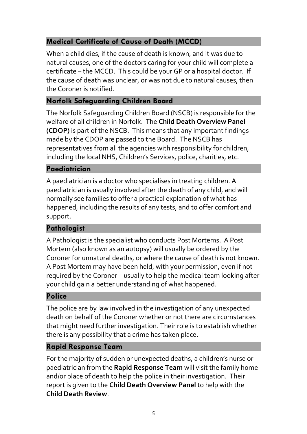#### **Medical Certificate of Cause of Death (MCCD)**

When a child dies, if the cause of death is known, and it was due to natural causes, one of the doctors caring for your child will complete a certificate – the MCCD. This could be your GP or a hospital doctor. If the cause of death was unclear, or was not due to natural causes, then the Coroner is notified.

#### **Norfolk Safeguarding Children Board**

The Norfolk Safeguarding Children Board (NSCB) is responsible for the welfare of all children in Norfolk. The **Child Death Overview Panel (CDOP)** is part of the NSCB. This means that any important findings made by the CDOP are passed to the Board. The NSCB has representatives from all the agencies with responsibility for children, including the local NHS, Children's Services, police, charities, etc.

#### **Paediatrician**

A paediatrician is a doctor who specialises in treating children. A paediatrician is usually involved after the death of any child, and will normally see families to offer a practical explanation of what has happened, including the results of any tests, and to offer comfort and support.

#### **Pathologist**

A Pathologist is the specialist who conducts Post Mortems. A Post Mortem (also known as an autopsy) will usually be ordered by the Coroner for unnatural deaths, or where the cause of death is not known. A Post Mortem may have been held, with your permission, even if not required by the Coroner – usually to help the medical team looking after your child gain a better understanding of what happened.

#### **Police**

The police are by law involved in the investigation of any unexpected death on behalf of the Coroner whether or not there are circumstances that might need further investigation. Their role is to establish whether there is any possibility that a crime has taken place.

#### **Rapid Response Team**

For the majority of sudden or unexpected deaths, a children's nurse or paediatrician from the **Rapid Response Team** will visit the family home and/or place of death to help the police in their investigation. Their report is given to the **Child Death Overview Panel** to help with the **Child Death Review**.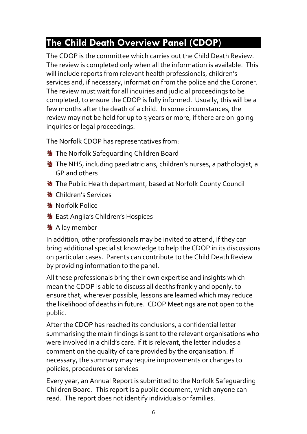# **The Child Death Overview Panel (CDOP)**

The CDOP is the committee which carries out the Child Death Review. The review is completed only when all the information is available. This will include reports from relevant health professionals, children's services and, if necessary, information from the police and the Coroner. The review must wait for all inquiries and judicial proceedings to be completed, to ensure the CDOP is fully informed. Usually, this will be a few months after the death of a child. In some circumstances, the review may not be held for up to 3 years or more, if there are on-going inquiries or legal proceedings.

The Norfolk CDOP has representatives from:

- **M** The Norfolk Safeguarding Children Board
- **N** The NHS, including paediatricians, children's nurses, a pathologist, a GP and others
- **N** The Public Health department, based at Norfolk County Council
- **塾 Children's Services**
- **物 Norfolk Police**
- **N** East Anglia's Children's Hospices
- **到** A lay member

In addition, other professionals may be invited to attend, if they can bring additional specialist knowledge to help the CDOP in its discussions on particular cases. Parents can contribute to the Child Death Review by providing information to the panel.

All these professionals bring their own expertise and insights which mean the CDOP is able to discuss all deaths frankly and openly, to ensure that, wherever possible, lessons are learned which may reduce the likelihood of deaths in future. CDOP Meetings are not open to the public.

After the CDOP has reached its conclusions, a confidential letter summarising the main findings is sent to the relevant organisations who were involved in a child's care. If it is relevant, the letter includes a comment on the quality of care provided by the organisation. If necessary, the summary may require improvements or changes to policies, procedures or services

Every year, an Annual Report is submitted to the Norfolk Safeguarding Children Board. This report is a public document, which anyone can read. The report does not identify individuals or families.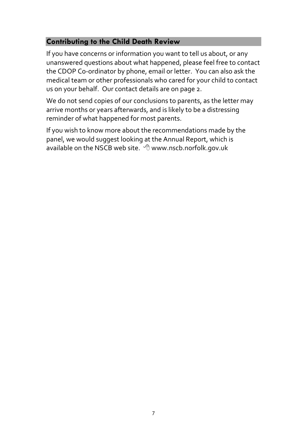#### **Contributing to the Child Death Review**

If you have concerns or information you want to tell us about, or any unanswered questions about what happened, please feel free to contact the CDOP Co-ordinator by phone, email or letter. You can also ask the medical team or other professionals who cared for your child to contact us on your behalf. Our contact details are on page 2.

We do not send copies of our conclusions to parents, as the letter may arrive months or years afterwards, and is likely to be a distressing reminder of what happened for most parents.

If you wish to know more about the recommendations made by the panel, we would suggest looking at the Annual Report, which is available on the NSCB web site.  $\Theta$  www.nscb.norfolk.gov.uk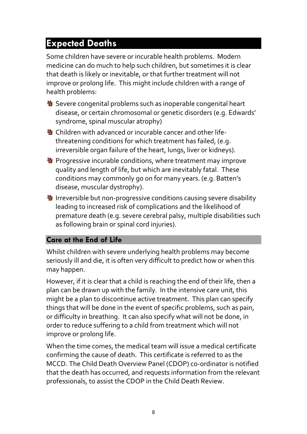# **Expected Deaths**

Some children have severe or incurable health problems. Modern medicine can do much to help such children, but sometimes it is clear that death is likely or inevitable, or that further treatment will not improve or prolong life. This might include children with a range of health problems:

- **N** Severe congenital problems such as inoperable congenital heart disease, or certain chromosomal or genetic disorders (e.g. Edwards' syndrome, spinal muscular atrophy)
- **N** Children with advanced or incurable cancer and other lifethreatening conditions for which treatment has failed, (e.g. irreversible organ failure of the heart, lungs, liver or kidneys).
- **N** Progressive incurable conditions, where treatment may improve quality and length of life, but which are inevitably fatal. These conditions may commonly go on for many years. (e.g. Batten's disease, muscular dystrophy).
- **N** Irreversible but non-progressive conditions causing severe disability leading to increased risk of complications and the likelihood of premature death (e.g. severe cerebral palsy, multiple disabilities such as following brain or spinal cord injuries).

#### **Care at the End of Life**

Whilst children with severe underlying health problems may become seriously ill and die, it is often very difficult to predict how or when this may happen.

However, if it is clear that a child is reaching the end of their life, then a plan can be drawn up with the family. In the intensive care unit, this might be a plan to discontinue active treatment. This plan can specify things that will be done in the event of specific problems, such as pain, or difficulty in breathing. It can also specify what will not be done, in order to reduce suffering to a child from treatment which will not improve or prolong life.

When the time comes, the medical team will issue a medical certificate confirming the cause of death. This certificate is referred to as the MCCD. The Child Death Overview Panel (CDOP) co-ordinator is notified that the death has occurred, and requests information from the relevant professionals, to assist the CDOP in the Child Death Review.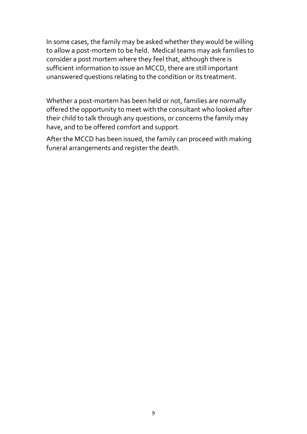In some cases, the family may be asked whether they would be willing to allow a post-mortem to be held. Medical teams may ask families to consider a post mortem where they feel that, although there is sufficient information to issue an MCCD, there are still important unanswered questions relating to the condition or its treatment.

Whether a post-mortem has been held or not, families are normally offered the opportunity to meet with the consultant who looked after their child to talk through any questions, or concerns the family may have, and to be offered comfort and support.

After the MCCD has been issued, the family can proceed with making funeral arrangements and register the death.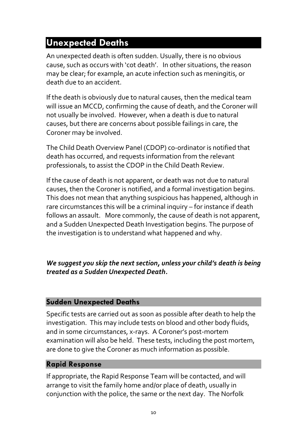# **Unexpected Deaths**

An unexpected death is often sudden. Usually, there is no obvious cause, such as occurs with 'cot death'. In other situations, the reason may be clear; for example, an acute infection such as meningitis, or death due to an accident.

If the death is obviously due to natural causes, then the medical team will issue an MCCD, confirming the cause of death, and the Coroner will not usually be involved. However, when a death is due to natural causes, but there are concerns about possible failings in care, the Coroner may be involved.

The Child Death Overview Panel (CDOP) co-ordinator is notified that death has occurred, and requests information from the relevant professionals, to assist the CDOP in the Child Death Review.

If the cause of death is not apparent, or death was not due to natural causes, then the Coroner is notified, and a formal investigation begins. This does not mean that anything suspicious has happened, although in rare circumstances this will be a criminal inquiry – for instance if death follows an assault. More commonly, the cause of death is not apparent, and a Sudden Unexpected Death Investigation begins. The purpose of the investigation is to understand what happened and why.

#### *We suggest you skip the next section, unless your child's death is being treated as a Sudden Unexpected Death.*

#### **Sudden Unexpected Deaths**

Specific tests are carried out as soon as possible after death to help the investigation. This may include tests on blood and other body fluids, and in some circumstances, x-rays. A Coroner's post-mortem examination will also be held. These tests, including the post mortem, are done to give the Coroner as much information as possible.

#### **Rapid Response**

If appropriate, the Rapid Response Team will be contacted, and will arrange to visit the family home and/or place of death, usually in conjunction with the police, the same or the next day. The Norfolk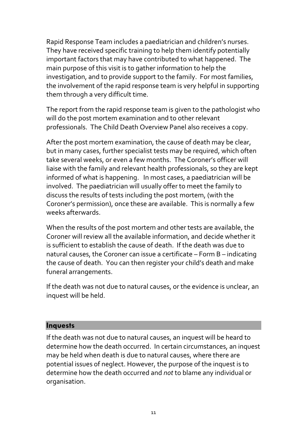Rapid Response Team includes a paediatrician and children's nurses. They have received specific training to help them identify potentially important factors that may have contributed to what happened. The main purpose of this visit is to gather information to help the investigation, and to provide support to the family. For most families, the involvement of the rapid response team is very helpful in supporting them through a very difficult time.

The report from the rapid response team is given to the pathologist who will do the post mortem examination and to other relevant professionals. The Child Death Overview Panel also receives a copy.

After the post mortem examination, the cause of death may be clear, but in many cases, further specialist tests may be required, which often take several weeks, or even a few months. The Coroner's officer will liaise with the family and relevant health professionals, so they are kept informed of what is happening. In most cases, a paediatrician will be involved. The paediatrician will usually offer to meet the family to discuss the results of tests including the post mortem, (with the Coroner's permission), once these are available. This is normally a few weeks afterwards.

When the results of the post mortem and other tests are available, the Coroner will review all the available information, and decide whether it is sufficient to establish the cause of death. If the death was due to natural causes, the Coroner can issue a certificate – Form B – indicating the cause of death. You can then register your child's death and make funeral arrangements.

If the death was not due to natural causes, or the evidence is unclear, an inquest will be held.

#### **Inquests**

If the death was not due to natural causes, an inquest will be heard to determine how the death occurred. In certain circumstances, an inquest may be held when death is due to natural causes, where there are potential issues of neglect. However, the purpose of the inquest is to determine how the death occurred and *not* to blame any individual or organisation.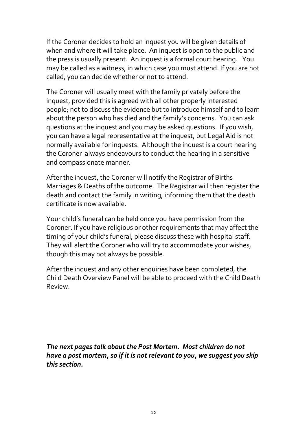If the Coroner decides to hold an inquest you will be given details of when and where it will take place. An inquest is open to the public and the press is usually present. An inquest is a formal court hearing. You may be called as a witness, in which case you must attend. If you are not called, you can decide whether or not to attend.

The Coroner will usually meet with the family privately before the inquest, provided this is agreed with all other properly interested people; not to discuss the evidence but to introduce himself and to learn about the person who has died and the family's concerns. You can ask questions at the inquest and you may be asked questions. If you wish, you can have a legal representative at the inquest, but Legal Aid is not normally available for inquests. Although the inquest is a court hearing the Coroner always endeavours to conduct the hearing in a sensitive and compassionate manner.

After the inquest, the Coroner will notify the Registrar of Births Marriages & Deaths of the outcome. The Registrar will then register the death and contact the family in writing, informing them that the death certificate is now available.

Your child's funeral can be held once you have permission from the Coroner. If you have religious or other requirements that may affect the timing of your child's funeral, please discuss these with hospital staff. They will alert the Coroner who will try to accommodate your wishes, though this may not always be possible.

After the inquest and any other enquiries have been completed, the Child Death Overview Panel will be able to proceed with the Child Death Review.

*The next pages talk about the Post Mortem. Most children do not have a post mortem, so if it is not relevant to you, we suggest you skip this section.*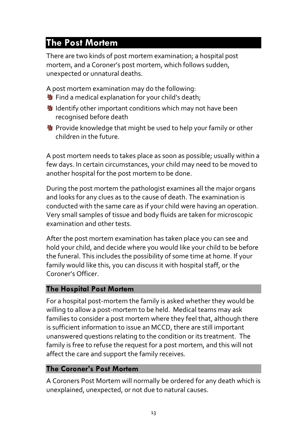# **The Post Mortem**

There are two kinds of post mortem examination; a hospital post mortem, and a Coroner's post mortem, which follows sudden, unexpected or unnatural deaths.

A post mortem examination may do the following:

- **N** Find a medical explanation for your child's death;
- **N** Identify other important conditions which may not have been recognised before death
- **N** Provide knowledge that might be used to help your family or other children in the future.

A post mortem needs to takes place as soon as possible; usually within a few days. In certain circumstances, your child may need to be moved to another hospital for the post mortem to be done.

During the post mortem the pathologist examines all the major organs and looks for any clues as to the cause of death. The examination is conducted with the same care as if your child were having an operation. Very small samples of tissue and body fluids are taken for microscopic examination and other tests.

After the post mortem examination has taken place you can see and hold your child, and decide where you would like your child to be before the funeral. This includes the possibility of some time at home. If your family would like this, you can discuss it with hospital staff, or the Coroner's Officer.

#### **The Hospital Post Mortem**

For a hospital post-mortem the family is asked whether they would be willing to allow a post-mortem to be held. Medical teams may ask families to consider a post mortem where they feel that, although there is sufficient information to issue an MCCD, there are still important unanswered questions relating to the condition or its treatment. The family is free to refuse the request for a post mortem, and this will not affect the care and support the family receives.

#### **The Coroner's Post Mortem**

A Coroners Post Mortem will normally be ordered for any death which is unexplained, unexpected, or not due to natural causes.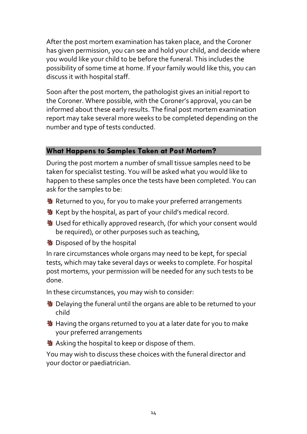After the post mortem examination has taken place, and the Coroner has given permission, you can see and hold your child, and decide where you would like your child to be before the funeral. This includes the possibility of some time at home. If your family would like this, you can discuss it with hospital staff.

Soon after the post mortem, the pathologist gives an initial report to the Coroner. Where possible, with the Coroner's approval, you can be informed about these early results. The final post mortem examination report may take several more weeks to be completed depending on the number and type of tests conducted.

#### **What Happens to Samples Taken at Post Mortem?**

During the post mortem a number of small tissue samples need to be taken for specialist testing. You will be asked what you would like to happen to these samples once the tests have been completed. You can ask for the samples to be:

- **N** Returned to you, for you to make your preferred arrangements
- **N** Kept by the hospital, as part of your child's medical record.
- **N** Used for ethically approved research, (for which your consent would be required), or other purposes such as teaching,
- **N** Disposed of by the hospital

In rare circumstances whole organs may need to be kept, for special tests, which may take several days or weeks to complete. For hospital post mortems, your permission will be needed for any such tests to be done.

In these circumstances, you may wish to consider:

- **N** Delaying the funeral until the organs are able to be returned to your child
- **N** Having the organs returned to you at a later date for you to make your preferred arrangements
- **N** Asking the hospital to keep or dispose of them.

You may wish to discuss these choices with the funeral director and your doctor or paediatrician.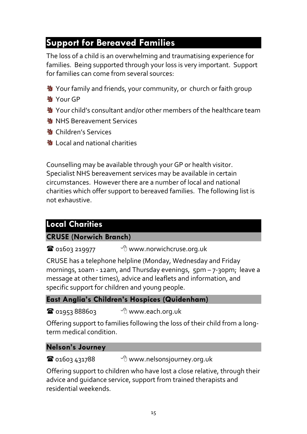# **Support for Bereaved Families**

The loss of a child is an overwhelming and traumatising experience for families. Being supported through your loss is very important. Support for families can come from several sources:

- **N** Your family and friends, your community, or church or faith group
- **M**<br>Your GP
- **N** Your child's consultant and/or other members of the healthcare team
- **NHS Bereavement Services**
- **塾 Children's Services**
- **もとの Local and national charities**

Counselling may be available through your GP or health visitor. Specialist NHS bereavement services may be available in certain circumstances. However there are a number of local and national charities which offer support to bereaved families. The following list is not exhaustive.

## **Local Charities**

#### **CRUSE (Norwich Branch)**

 $\bullet$  01603 219977  $\bullet$  www.norwichcruse.org.uk

CRUSE has a telephone helpline (Monday, Wednesday and Friday mornings, 10am - 12am, and Thursday evenings, 5pm – 7-30pm; leave a message at other times), advice and leaflets and information, and specific support for children and young people.

#### **East Anglia's Children's Hospices (Quidenham)**

 $^{\circledR}$  01953 888603  $^{\circledR}$  www.each.org.uk

Offering support to families following the loss of their child from a longterm medical condition.

#### **Nelson's Journey**

**T** 01603 431788 <sup>●</sup> www.nelsonsjourney.org.uk

Offering support to children who have lost a close relative, through their advice and guidance service, support from trained therapists and residential weekends.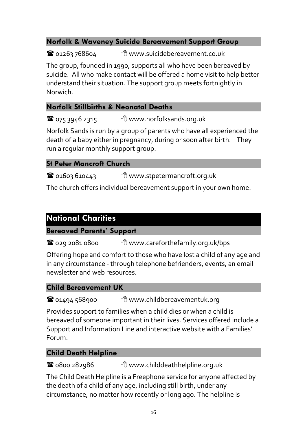#### **Norfolk & Waveney Suicide Bereavement Support Group**

**T** 01263 768604 <sup>1</sup> www.suicidebereavement.co.uk

The group, founded in 1990, supports all who have been bereaved by suicide. All who make contact will be offered a home visit to help better understand their situation. The support group meets fortnightly in Norwich.

## **Norfolk Stillbirths & Neonatal Deaths**

075 3946 2315 www.norfolksands.org.uk

Norfolk Sands is run by a group of parents who have all experienced the death of a baby either in pregnancy, during or soon after birth. They run a regular monthly support group.

## **St Peter Mancroft Church**

 $\bullet$  01603 610443  $\bullet$  www.stpetermancroft.org.uk

The church offers individual bereavement support in your own home.

## **National Charities**

#### **Bereaved Parents' Support**

**■** 029 2081 0800 <sup>●</sup> www.careforthefamily.org.uk/bps

Offering hope and comfort to those who have lost a child of any age and in any circumstance - through telephone befrienders, events, an email newsletter and web resources.

#### **Child Bereavement UK**

**■** 01494 568900 <sup>→</sup> www.childbereavementuk.org

Provides support to families when a child dies or when a child is bereaved of someone important in their lives. Services offered include a Support and Information Line and interactive website with a Families' Forum.

## **Child Death Helpline**

0800 282986 www.childdeathhelpline.org.uk

The Child Death Helpline is a Freephone service for anyone affected by the death of a child of any age, including still birth, under any circumstance, no matter how recently or long ago. The helpline is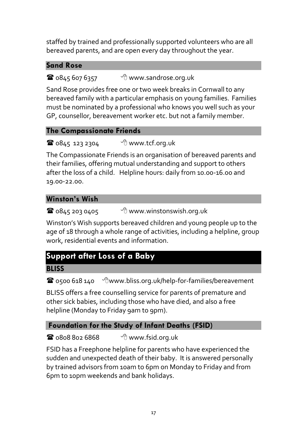staffed by trained and professionally supported volunteers who are all bereaved parents, and are open every day throughout the year.

#### **Sand Rose**

 $\mathbf{\widehat{a}}$  0845 607 6357  $\qquad$   $\oplus$  www.sandrose.org.uk

Sand Rose provides free one or two week breaks in Cornwall to any bereaved family with a particular emphasis on young families. Families must be nominated by a professional who knows you well such as your GP, counsellor, bereavement worker etc. but not a family member.

#### **The Compassionate Friends**

**1**  $0845$  123 2304  $\theta$  www.tcf.org.uk

The Compassionate Friends is an organisation of bereaved parents and their families, offering mutual understanding and support to others after the loss of a child. Helpline hours: daily from 10.00-16.00 and 19.00-22.00.

#### **Winston's Wish**

 $\bullet$  0845 203 0405  $\bullet$  www.winstonswish.org.uk

Winston's Wish supports bereaved children and young people up to the age of 18 through a whole range of activities, including a helpline, group work, residential events and information.

# **Support after Loss of a Baby**

**BLISS** 

0500 618 140 www.bliss.org.uk/help-for-families/bereavement

BLISS offers a free counselling service for parents of premature and other sick babies, including those who have died, and also a free helpline (Monday to Friday 9am to 9pm).

## **Foundation for the Study of Infant Deaths (FSID)**

 $\bullet$  0808 802 6868  $\bullet$  www.fsid.org.uk

FSID has a Freephone helpline for parents who have experienced the sudden and unexpected death of their baby. It is answered personally by trained advisors from 10am to 6pm on Monday to Friday and from 6pm to 10pm weekends and bank holidays.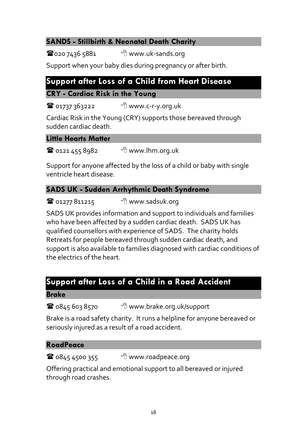## **SANDS - Stillbirth & Neonatal Death Charity**

 $\mathbf{\mathcal{D}}$ 020 7436 5881  $\mathcal{D}$  www.uk-sands.org

Support when your baby dies during pregnancy or after birth.

## **Support after Loss of a Child from Heart Disease**

#### **CRY - Cardiac Risk in the Young**

 $^{\circ}$  01737 363222  $^{\circ}$  www.c-r-y.org.uk

Cardiac Risk in the Young (CRY) supports those bereaved through sudden cardiac death.

#### **Little Hearts Matter**

 $^{\circ}$  0121 455 8982  $^{\circ}$  www.lhm.org.uk

Support for anyone affected by the loss of a child or baby with single ventricle heart disease.

## **SADS UK - Sudden Arrhythmic Death Syndrome**

 $\bullet$  01277 811215  $\bullet$  www.sadsuk.org

SADS UK provides information and support to individuals and families who have been affected by a sudden cardiac death. SADS UK has qualified counsellors with experience of SADS. The charity holds Retreats for people bereaved through sudden cardiac death, and support is also available to families diagnosed with cardiac conditions of the electrics of the heart.

## **Support after Loss of a Child in a Road Accident**

#### **Brake**

 $\bullet$  0845 603 8570  $\bullet$  www.brake.org.uk/support

Brake is a road safety charity. It runs a helpline for anyone bereaved or seriously injured as a result of a road accident.

#### **RoadPeace**

 $\mathbf{\widehat{a}}$  0845 4500 355  $\qquad$   $\oplus$  www.roadpeace.org

Offering practical and emotional support to all bereaved or injured through road crashes.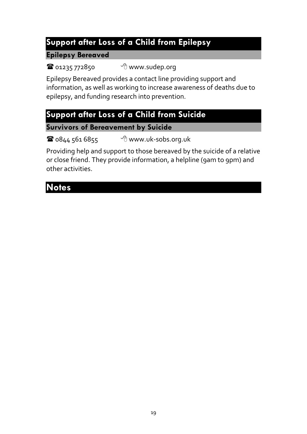## **Support after Loss of a Child from Epilepsy**

#### **Epilepsy Bereaved**

01235 772850 www.sudep.org

Epilepsy Bereaved provides a contact line providing support and information, as well as working to increase awareness of deaths due to epilepsy, and funding research into prevention.

# **Support after Loss of a Child from Suicide**

**Survivors of Bereavement by Suicide**

 $\bullet$  0844 561 6855  $\bullet$  www.uk-sobs.org.uk

Providing help and support to those bereaved by the suicide of a relative or close friend. They provide information, a helpline (9am to 9pm) and other activities.

# **Notes**